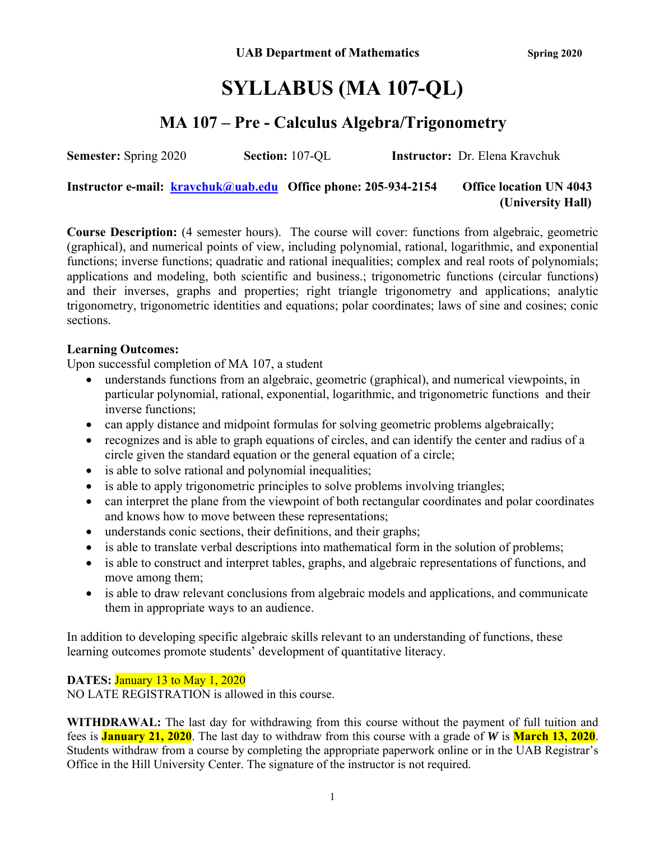# **SYLLABUS (MA 107-QL)**

# **MA 107 – Pre - Calculus Algebra/Trigonometry**

**Semester:** Spring 2020 **Section:** 107-QL **Instructor:** Dr. Elena Kravchuk

**Instructor e-mail: kravchuk@uab.edu Office phone: 205**-**934-2154 Office location UN 4043 (University Hall)**

**Course Description:** (4 semester hours). The course will cover: functions from algebraic, geometric (graphical), and numerical points of view, including polynomial, rational, logarithmic, and exponential functions; inverse functions; quadratic and rational inequalities; complex and real roots of polynomials; applications and modeling, both scientific and business.; trigonometric functions (circular functions) and their inverses, graphs and properties; right triangle trigonometry and applications; analytic trigonometry, trigonometric identities and equations; polar coordinates; laws of sine and cosines; conic sections.

# **Learning Outcomes:**

Upon successful completion of MA 107, a student

- understands functions from an algebraic, geometric (graphical), and numerical viewpoints, in particular polynomial, rational, exponential, logarithmic, and trigonometric functions and their inverse functions;
- can apply distance and midpoint formulas for solving geometric problems algebraically;
- recognizes and is able to graph equations of circles, and can identify the center and radius of a circle given the standard equation or the general equation of a circle;
- is able to solve rational and polynomial inequalities;
- is able to apply trigonometric principles to solve problems involving triangles;
- can interpret the plane from the viewpoint of both rectangular coordinates and polar coordinates and knows how to move between these representations;
- understands conic sections, their definitions, and their graphs;
- is able to translate verbal descriptions into mathematical form in the solution of problems;
- is able to construct and interpret tables, graphs, and algebraic representations of functions, and move among them;
- is able to draw relevant conclusions from algebraic models and applications, and communicate them in appropriate ways to an audience.

In addition to developing specific algebraic skills relevant to an understanding of functions, these learning outcomes promote students' development of quantitative literacy.

# **DATES:** January 13 to May 1, 2020

NO LATE REGISTRATION is allowed in this course.

**WITHDRAWAL:** The last day for withdrawing from this course without the payment of full tuition and fees is **January 21, 2020**. The last day to withdraw from this course with a grade of *W* is **March 13, 2020**. Students withdraw from a course by completing the appropriate paperwork online or in the UAB Registrar's Office in the Hill University Center. The signature of the instructor is not required.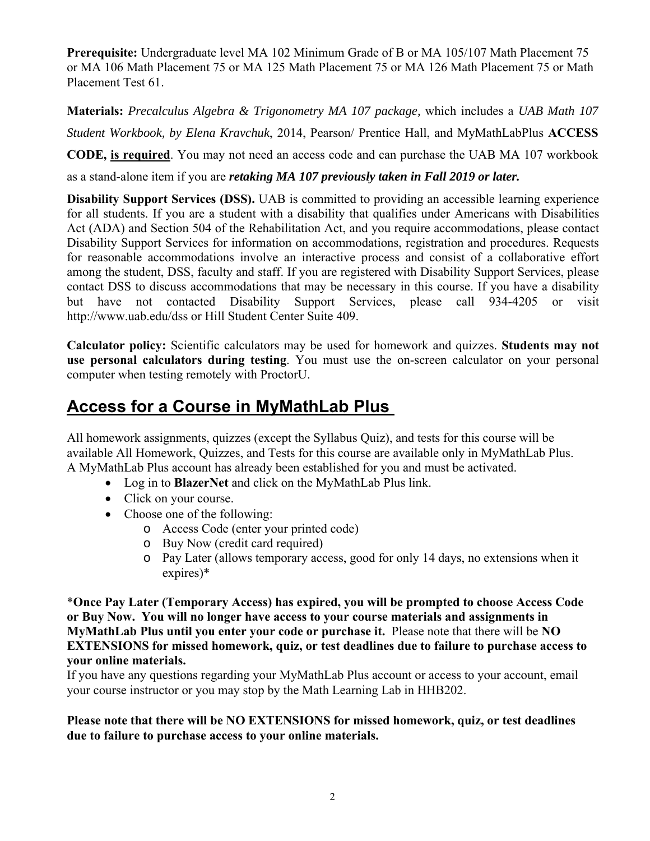**Prerequisite:** Undergraduate level MA 102 Minimum Grade of B or MA 105/107 Math Placement 75 or MA 106 Math Placement 75 or MA 125 Math Placement 75 or MA 126 Math Placement 75 or Math Placement Test 61.

**Materials:** *Precalculus Algebra & Trigonometry MA 107 package,* which includes a *UAB Math 107 Student Workbook, by Elena Kravchuk*, 2014, Pearson/ Prentice Hall, and MyMathLabPlus **ACCESS** 

**CODE, is required**. You may not need an access code and can purchase the UAB MA 107 workbook

as a stand-alone item if you are *retaking MA 107 previously taken in Fall 2019 or later.* 

**Disability Support Services (DSS).** UAB is committed to providing an accessible learning experience for all students. If you are a student with a disability that qualifies under Americans with Disabilities Act (ADA) and Section 504 of the Rehabilitation Act, and you require accommodations, please contact Disability Support Services for information on accommodations, registration and procedures. Requests for reasonable accommodations involve an interactive process and consist of a collaborative effort among the student, DSS, faculty and staff. If you are registered with Disability Support Services, please contact DSS to discuss accommodations that may be necessary in this course. If you have a disability but have not contacted Disability Support Services, please call 934-4205 or visit http://www.uab.edu/dss or Hill Student Center Suite 409.

**Calculator policy:** Scientific calculators may be used for homework and quizzes. **Students may not use personal calculators during testing**. You must use the on-screen calculator on your personal computer when testing remotely with ProctorU.

# **Access for a Course in MyMathLab Plus**

All homework assignments, quizzes (except the Syllabus Quiz), and tests for this course will be available All Homework, Quizzes, and Tests for this course are available only in MyMathLab Plus. A MyMathLab Plus account has already been established for you and must be activated.

- Log in to **BlazerNet** and click on the MyMathLab Plus link.
- Click on your course.
- Choose one of the following:
	- o Access Code (enter your printed code)
	- o Buy Now (credit card required)
	- o Pay Later (allows temporary access, good for only 14 days, no extensions when it expires)\*

\***Once Pay Later (Temporary Access) has expired, you will be prompted to choose Access Code or Buy Now. You will no longer have access to your course materials and assignments in MyMathLab Plus until you enter your code or purchase it.** Please note that there will be **NO EXTENSIONS for missed homework, quiz, or test deadlines due to failure to purchase access to your online materials.** 

If you have any questions regarding your MyMathLab Plus account or access to your account, email your course instructor or you may stop by the Math Learning Lab in HHB202.

**Please note that there will be NO EXTENSIONS for missed homework, quiz, or test deadlines due to failure to purchase access to your online materials.**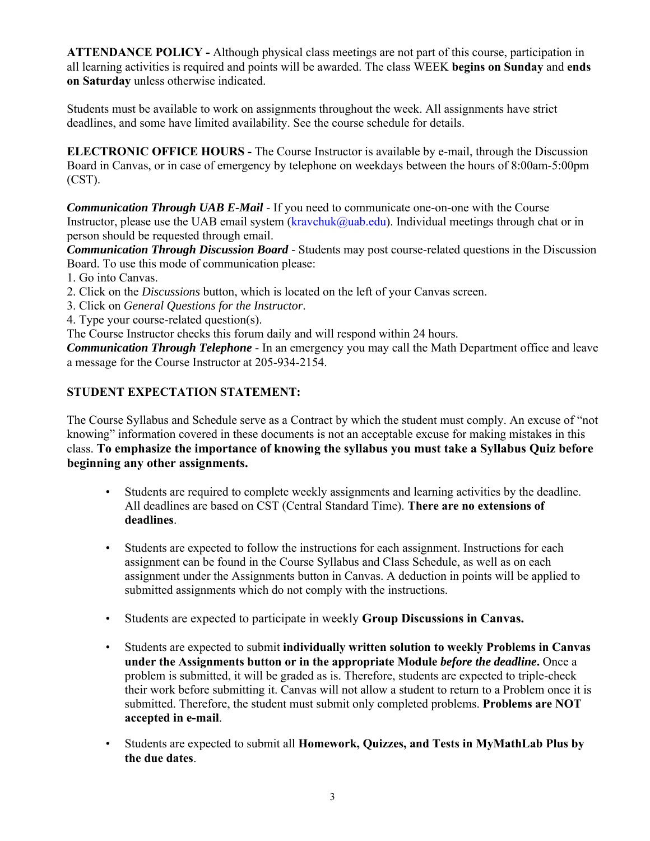**ATTENDANCE POLICY -** Although physical class meetings are not part of this course, participation in all learning activities is required and points will be awarded. The class WEEK **begins on Sunday** and **ends on Saturday** unless otherwise indicated.

Students must be available to work on assignments throughout the week. All assignments have strict deadlines, and some have limited availability. See the course schedule for details.

**ELECTRONIC OFFICE HOURS -** The Course Instructor is available by e-mail, through the Discussion Board in Canvas, or in case of emergency by telephone on weekdays between the hours of 8:00am-5:00pm (CST).

*Communication Through UAB E-Mail* - If you need to communicate one-on-one with the Course Instructor, please use the UAB email system (kravchuk@uab.edu). Individual meetings through chat or in person should be requested through email.

*Communication Through Discussion Board* - Students may post course-related questions in the Discussion Board. To use this mode of communication please:

1. Go into Canvas.

- 2. Click on the *Discussions* button, which is located on the left of your Canvas screen.
- 3. Click on *General Questions for the Instructor*.
- 4. Type your course-related question(s).

The Course Instructor checks this forum daily and will respond within 24 hours.

*Communication Through Telephone* - In an emergency you may call the Math Department office and leave a message for the Course Instructor at 205-934-2154.

# **STUDENT EXPECTATION STATEMENT:**

The Course Syllabus and Schedule serve as a Contract by which the student must comply. An excuse of "not knowing" information covered in these documents is not an acceptable excuse for making mistakes in this class. **To emphasize the importance of knowing the syllabus you must take a Syllabus Quiz before beginning any other assignments.**

- Students are required to complete weekly assignments and learning activities by the deadline. All deadlines are based on CST (Central Standard Time). **There are no extensions of deadlines**.
- Students are expected to follow the instructions for each assignment. Instructions for each assignment can be found in the Course Syllabus and Class Schedule, as well as on each assignment under the Assignments button in Canvas. A deduction in points will be applied to submitted assignments which do not comply with the instructions.
- Students are expected to participate in weekly **Group Discussions in Canvas.**
- Students are expected to submit **individually written solution to weekly Problems in Canvas under the Assignments button or in the appropriate Module** *before the deadline***.** Once a problem is submitted, it will be graded as is. Therefore, students are expected to triple-check their work before submitting it. Canvas will not allow a student to return to a Problem once it is submitted. Therefore, the student must submit only completed problems. **Problems are NOT accepted in e-mail**.
- Students are expected to submit all **Homework, Quizzes, and Tests in MyMathLab Plus by the due dates**.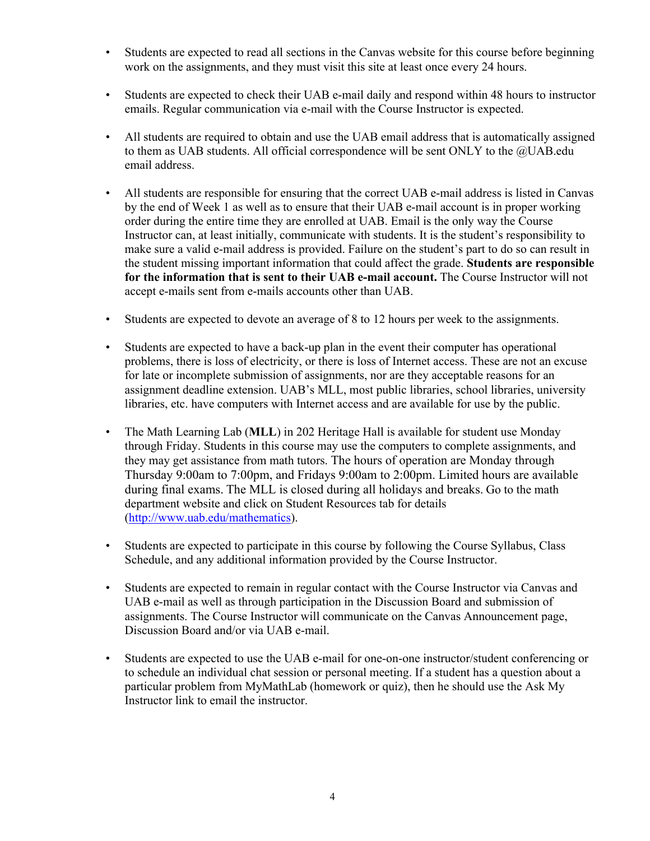- Students are expected to read all sections in the Canvas website for this course before beginning work on the assignments, and they must visit this site at least once every 24 hours.
- Students are expected to check their UAB e-mail daily and respond within 48 hours to instructor emails. Regular communication via e-mail with the Course Instructor is expected.
- All students are required to obtain and use the UAB email address that is automatically assigned to them as UAB students. All official correspondence will be sent ONLY to the  $@$ UAB.edu email address.
- All students are responsible for ensuring that the correct UAB e-mail address is listed in Canvas by the end of Week 1 as well as to ensure that their UAB e-mail account is in proper working order during the entire time they are enrolled at UAB. Email is the only way the Course Instructor can, at least initially, communicate with students. It is the student's responsibility to make sure a valid e-mail address is provided. Failure on the student's part to do so can result in the student missing important information that could affect the grade. **Students are responsible for the information that is sent to their UAB e-mail account.** The Course Instructor will not accept e-mails sent from e-mails accounts other than UAB.
- Students are expected to devote an average of 8 to 12 hours per week to the assignments.
- Students are expected to have a back-up plan in the event their computer has operational problems, there is loss of electricity, or there is loss of Internet access. These are not an excuse for late or incomplete submission of assignments, nor are they acceptable reasons for an assignment deadline extension. UAB's MLL, most public libraries, school libraries, university libraries, etc. have computers with Internet access and are available for use by the public.
- The Math Learning Lab (**MLL**) in 202 Heritage Hall is available for student use Monday through Friday. Students in this course may use the computers to complete assignments, and they may get assistance from math tutors. The hours of operation are Monday through Thursday 9:00am to 7:00pm, and Fridays 9:00am to 2:00pm. Limited hours are available during final exams. The MLL is closed during all holidays and breaks. Go to the math department website and click on Student Resources tab for details (http://www.uab.edu/mathematics).
- Students are expected to participate in this course by following the Course Syllabus, Class Schedule, and any additional information provided by the Course Instructor.
- Students are expected to remain in regular contact with the Course Instructor via Canvas and UAB e-mail as well as through participation in the Discussion Board and submission of assignments. The Course Instructor will communicate on the Canvas Announcement page, Discussion Board and/or via UAB e-mail.
- Students are expected to use the UAB e-mail for one-on-one instructor/student conferencing or to schedule an individual chat session or personal meeting. If a student has a question about a particular problem from MyMathLab (homework or quiz), then he should use the Ask My Instructor link to email the instructor.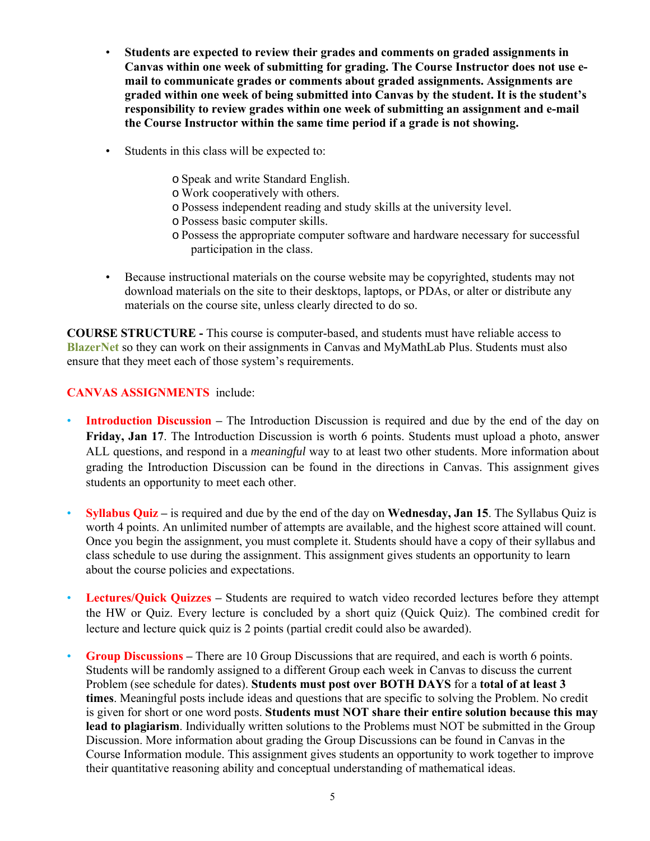- **Students are expected to review their grades and comments on graded assignments in Canvas within one week of submitting for grading. The Course Instructor does not use email to communicate grades or comments about graded assignments. Assignments are graded within one week of being submitted into Canvas by the student. It is the student's responsibility to review grades within one week of submitting an assignment and e-mail the Course Instructor within the same time period if a grade is not showing.**
- Students in this class will be expected to:
	- o Speak and write Standard English.
	- o Work cooperatively with others.
	- o Possess independent reading and study skills at the university level.
	- o Possess basic computer skills.
	- o Possess the appropriate computer software and hardware necessary for successful participation in the class.
- Because instructional materials on the course website may be copyrighted, students may not download materials on the site to their desktops, laptops, or PDAs, or alter or distribute any materials on the course site, unless clearly directed to do so.

**COURSE STRUCTURE -** This course is computer-based, and students must have reliable access to **BlazerNet** so they can work on their assignments in Canvas and MyMathLab Plus. Students must also ensure that they meet each of those system's requirements.

#### **CANVAS ASSIGNMENTS** include:

- **Introduction Discussion –** The Introduction Discussion is required and due by the end of the day on **Friday, Jan 17**. The Introduction Discussion is worth 6 points. Students must upload a photo, answer ALL questions, and respond in a *meaningful* way to at least two other students. More information about grading the Introduction Discussion can be found in the directions in Canvas. This assignment gives students an opportunity to meet each other.
- **Syllabus Quiz** is required and due by the end of the day on **Wednesday, Jan 15**. The Syllabus Quiz is worth 4 points. An unlimited number of attempts are available, and the highest score attained will count. Once you begin the assignment, you must complete it. Students should have a copy of their syllabus and class schedule to use during the assignment. This assignment gives students an opportunity to learn about the course policies and expectations.
- **Lectures/Quick Quizzes** Students are required to watch video recorded lectures before they attempt the HW or Quiz. Every lecture is concluded by a short quiz (Quick Quiz). The combined credit for lecture and lecture quick quiz is 2 points (partial credit could also be awarded).
- **Group Discussions** There are 10 Group Discussions that are required, and each is worth 6 points. Students will be randomly assigned to a different Group each week in Canvas to discuss the current Problem (see schedule for dates). **Students must post over BOTH DAYS** for a **total of at least 3 times**. Meaningful posts include ideas and questions that are specific to solving the Problem. No credit is given for short or one word posts. **Students must NOT share their entire solution because this may lead to plagiarism**. Individually written solutions to the Problems must NOT be submitted in the Group Discussion. More information about grading the Group Discussions can be found in Canvas in the Course Information module. This assignment gives students an opportunity to work together to improve their quantitative reasoning ability and conceptual understanding of mathematical ideas.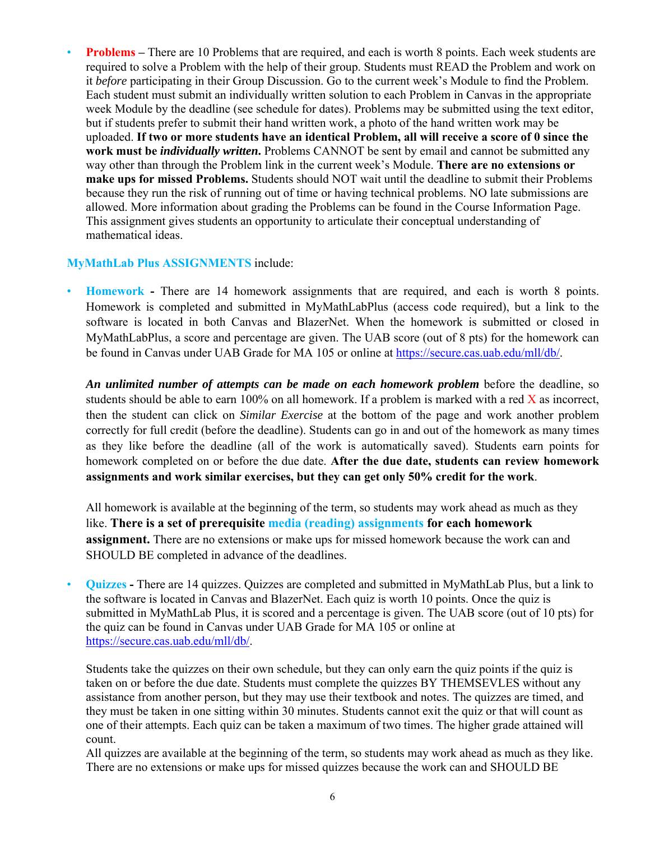**Problems** – There are 10 Problems that are required, and each is worth 8 points. Each week students are required to solve a Problem with the help of their group. Students must READ the Problem and work on it *before* participating in their Group Discussion. Go to the current week's Module to find the Problem. Each student must submit an individually written solution to each Problem in Canvas in the appropriate week Module by the deadline (see schedule for dates). Problems may be submitted using the text editor, but if students prefer to submit their hand written work, a photo of the hand written work may be uploaded. **If two or more students have an identical Problem, all will receive a score of 0 since the work must be** *individually written***.** Problems CANNOT be sent by email and cannot be submitted any way other than through the Problem link in the current week's Module. **There are no extensions or make ups for missed Problems.** Students should NOT wait until the deadline to submit their Problems because they run the risk of running out of time or having technical problems. NO late submissions are allowed. More information about grading the Problems can be found in the Course Information Page. This assignment gives students an opportunity to articulate their conceptual understanding of mathematical ideas.

#### **MyMathLab Plus ASSIGNMENTS** include:

• **Homework -** There are 14 homework assignments that are required, and each is worth 8 points. Homework is completed and submitted in MyMathLabPlus (access code required), but a link to the software is located in both Canvas and BlazerNet. When the homework is submitted or closed in MyMathLabPlus, a score and percentage are given. The UAB score (out of 8 pts) for the homework can be found in Canvas under UAB Grade for MA 105 or online at https://secure.cas.uab.edu/mll/db/.

*An unlimited number of attempts can be made on each homework problem* before the deadline, so students should be able to earn  $100\%$  on all homework. If a problem is marked with a red X as incorrect, then the student can click on *Similar Exercise* at the bottom of the page and work another problem correctly for full credit (before the deadline). Students can go in and out of the homework as many times as they like before the deadline (all of the work is automatically saved). Students earn points for homework completed on or before the due date. **After the due date, students can review homework assignments and work similar exercises, but they can get only 50% credit for the work**.

All homework is available at the beginning of the term, so students may work ahead as much as they like. **There is a set of prerequisite media (reading) assignments for each homework assignment.** There are no extensions or make ups for missed homework because the work can and SHOULD BE completed in advance of the deadlines.

• **Quizzes -** There are 14 quizzes. Quizzes are completed and submitted in MyMathLab Plus, but a link to the software is located in Canvas and BlazerNet. Each quiz is worth 10 points. Once the quiz is submitted in MyMathLab Plus, it is scored and a percentage is given. The UAB score (out of 10 pts) for the quiz can be found in Canvas under UAB Grade for MA 105 or online at https://secure.cas.uab.edu/mll/db/.

Students take the quizzes on their own schedule, but they can only earn the quiz points if the quiz is taken on or before the due date. Students must complete the quizzes BY THEMSEVLES without any assistance from another person, but they may use their textbook and notes. The quizzes are timed, and they must be taken in one sitting within 30 minutes. Students cannot exit the quiz or that will count as one of their attempts. Each quiz can be taken a maximum of two times. The higher grade attained will count.

All quizzes are available at the beginning of the term, so students may work ahead as much as they like. There are no extensions or make ups for missed quizzes because the work can and SHOULD BE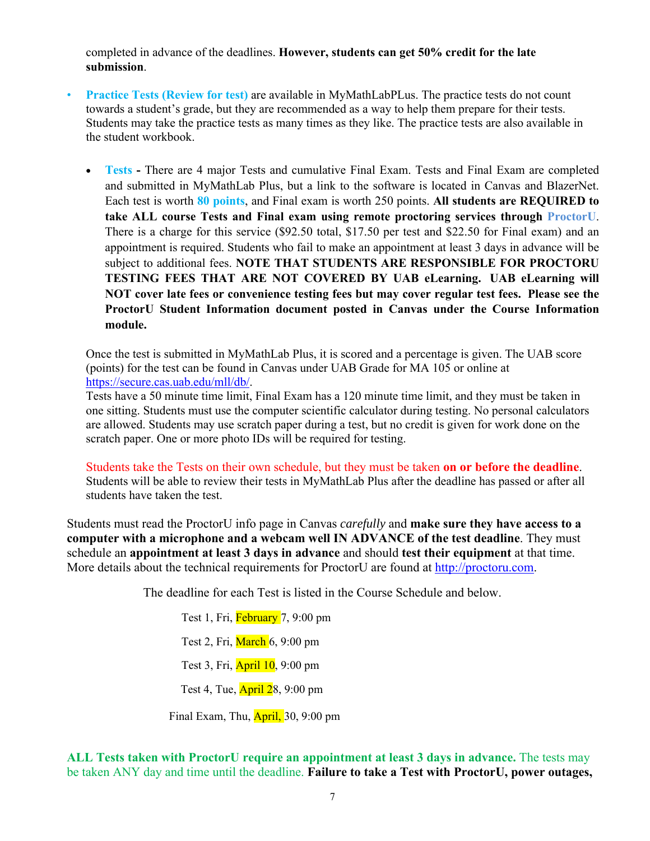completed in advance of the deadlines. **However, students can get 50% credit for the late submission**.

- **Practice Tests (Review for test)** are available in MyMathLabPLus. The practice tests do not count towards a student's grade, but they are recommended as a way to help them prepare for their tests. Students may take the practice tests as many times as they like. The practice tests are also available in the student workbook.
	- **Tests** There are 4 major Tests and cumulative Final Exam. Tests and Final Exam are completed and submitted in MyMathLab Plus, but a link to the software is located in Canvas and BlazerNet. Each test is worth **80 points**, and Final exam is worth 250 points. **All students are REQUIRED to take ALL course Tests and Final exam using remote proctoring services through ProctorU**. There is a charge for this service (\$92.50 total, \$17.50 per test and \$22.50 for Final exam) and an appointment is required. Students who fail to make an appointment at least 3 days in advance will be subject to additional fees. **NOTE THAT STUDENTS ARE RESPONSIBLE FOR PROCTORU TESTING FEES THAT ARE NOT COVERED BY UAB eLearning. UAB eLearning will NOT cover late fees or convenience testing fees but may cover regular test fees. Please see the ProctorU Student Information document posted in Canvas under the Course Information module.**

Once the test is submitted in MyMathLab Plus, it is scored and a percentage is given. The UAB score (points) for the test can be found in Canvas under UAB Grade for MA 105 or online at https://secure.cas.uab.edu/mll/db/.

Tests have a 50 minute time limit, Final Exam has a 120 minute time limit, and they must be taken in one sitting. Students must use the computer scientific calculator during testing. No personal calculators are allowed. Students may use scratch paper during a test, but no credit is given for work done on the scratch paper. One or more photo IDs will be required for testing.

Students take the Tests on their own schedule, but they must be taken **on or before the deadline**. Students will be able to review their tests in MyMathLab Plus after the deadline has passed or after all students have taken the test.

Students must read the ProctorU info page in Canvas *carefully* and **make sure they have access to a computer with a microphone and a webcam well IN ADVANCE of the test deadline**. They must schedule an **appointment at least 3 days in advance** and should **test their equipment** at that time. More details about the technical requirements for ProctorU are found at http://proctoru.com.

The deadline for each Test is listed in the Course Schedule and below.

Test 1, Fri, February 7, 9:00 pm Test 2, Fri, March 6, 9:00 pm Test 3, Fri, April 10, 9:00 pm Test 4, Tue, April 28, 9:00 pm Final Exam, Thu, April, 30, 9:00 pm

**ALL Tests taken with ProctorU require an appointment at least 3 days in advance.** The tests may be taken ANY day and time until the deadline. **Failure to take a Test with ProctorU, power outages,**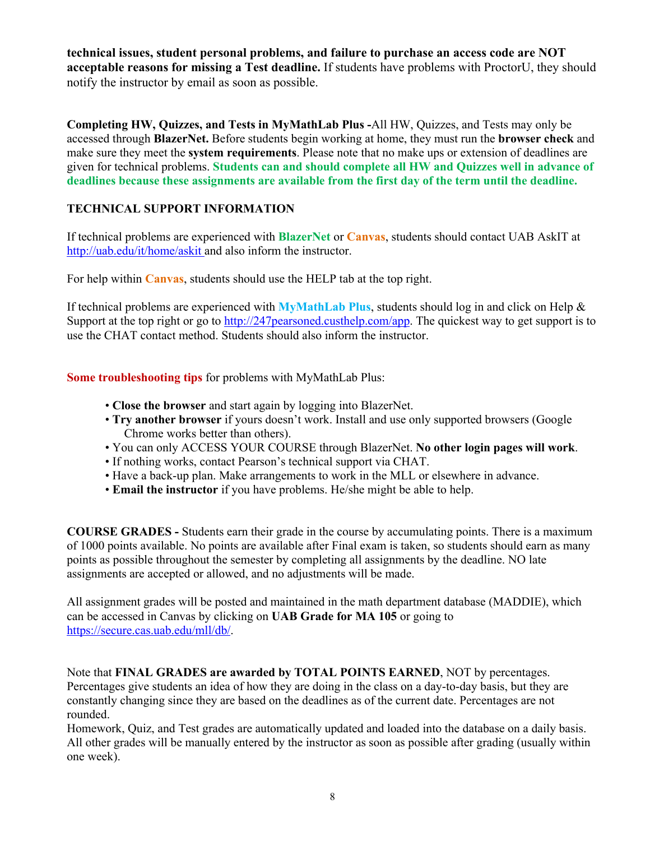**technical issues, student personal problems, and failure to purchase an access code are NOT acceptable reasons for missing a Test deadline.** If students have problems with ProctorU, they should notify the instructor by email as soon as possible.

**Completing HW, Quizzes, and Tests in MyMathLab Plus -**All HW, Quizzes, and Tests may only be accessed through **BlazerNet.** Before students begin working at home, they must run the **browser check** and make sure they meet the **system requirements**. Please note that no make ups or extension of deadlines are given for technical problems. **Students can and should complete all HW and Quizzes well in advance of deadlines because these assignments are available from the first day of the term until the deadline.** 

# **TECHNICAL SUPPORT INFORMATION**

If technical problems are experienced with **BlazerNet** or **Canvas**, students should contact UAB AskIT at http://uab.edu/it/home/askit and also inform the instructor.

For help within **Canvas**, students should use the HELP tab at the top right.

If technical problems are experienced with **MyMathLab Plus**, students should log in and click on Help & Support at the top right or go to http://247pearsoned.custhelp.com/app. The quickest way to get support is to use the CHAT contact method. Students should also inform the instructor.

**Some troubleshooting tips** for problems with MyMathLab Plus:

- **Close the browser** and start again by logging into BlazerNet.
- **Try another browser** if yours doesn't work. Install and use only supported browsers (Google Chrome works better than others).
- You can only ACCESS YOUR COURSE through BlazerNet. **No other login pages will work**.
- If nothing works, contact Pearson's technical support via CHAT.
- Have a back-up plan. Make arrangements to work in the MLL or elsewhere in advance.
- **Email the instructor** if you have problems. He/she might be able to help.

**COURSE GRADES -** Students earn their grade in the course by accumulating points. There is a maximum of 1000 points available. No points are available after Final exam is taken, so students should earn as many points as possible throughout the semester by completing all assignments by the deadline. NO late assignments are accepted or allowed, and no adjustments will be made.

All assignment grades will be posted and maintained in the math department database (MADDIE), which can be accessed in Canvas by clicking on **UAB Grade for MA 105** or going to https://secure.cas.uab.edu/mll/db/.

Note that **FINAL GRADES are awarded by TOTAL POINTS EARNED**, NOT by percentages. Percentages give students an idea of how they are doing in the class on a day-to-day basis, but they are constantly changing since they are based on the deadlines as of the current date. Percentages are not rounded.

Homework, Quiz, and Test grades are automatically updated and loaded into the database on a daily basis. All other grades will be manually entered by the instructor as soon as possible after grading (usually within one week).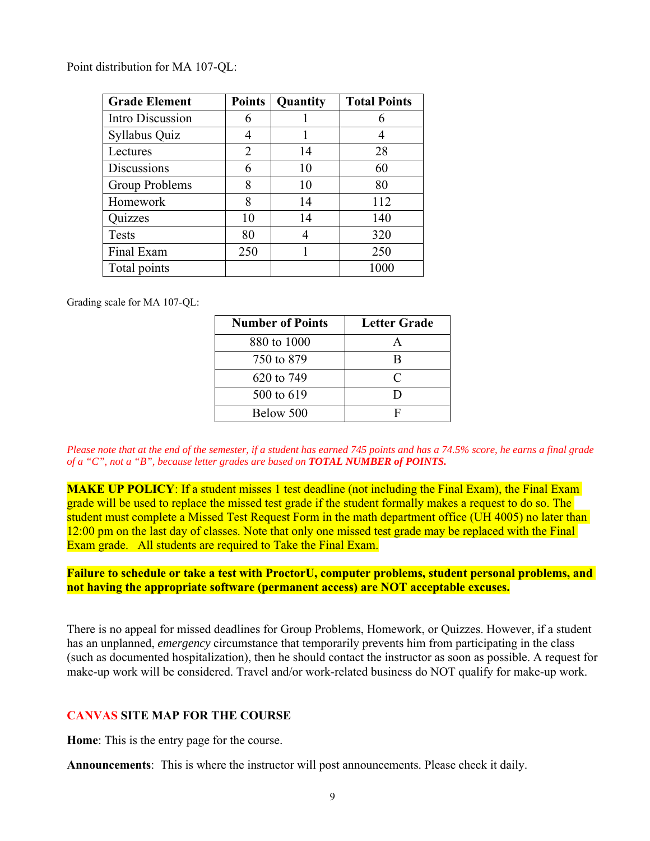Point distribution for MA 107-QL:

| <b>Grade Element</b> | <b>Points</b>  | Quantity | <b>Total Points</b> |
|----------------------|----------------|----------|---------------------|
| Intro Discussion     | 6              |          |                     |
| Syllabus Quiz        | 4              |          |                     |
| Lectures             | $\overline{2}$ | 14       | 28                  |
| <b>Discussions</b>   | 6              | 10       | 60                  |
| Group Problems       | 8              | 10       | 80                  |
| Homework             | 8              | 14       | 112                 |
| Quizzes              | 10             | 14       | 140                 |
| <b>Tests</b>         | 80             | 4        | 320                 |
| Final Exam           | 250            |          | 250                 |
| Total points         |                |          | 1000                |

Grading scale for MA 107-QL:

| <b>Number of Points</b> | Letter Grade                |
|-------------------------|-----------------------------|
| 880 to 1000             |                             |
| 750 to 879              | R                           |
| 620 to 749              | $\mathcal{C}_{\mathcal{C}}$ |
| 500 to 619              |                             |
| Below 500               | F                           |

*Please note that at the end of the semester, if a student has earned 745 points and has a 74.5% score, he earns a final grade of a "C", not a "B", because letter grades are based on TOTAL NUMBER of POINTS.*

**MAKE UP POLICY:** If a student misses 1 test deadline (not including the Final Exam), the Final Exam grade will be used to replace the missed test grade if the student formally makes a request to do so. The student must complete a Missed Test Request Form in the math department office (UH 4005) no later than 12:00 pm on the last day of classes. Note that only one missed test grade may be replaced with the Final Exam grade. All students are required to Take the Final Exam.

# **Failure to schedule or take a test with ProctorU, computer problems, student personal problems, and not having the appropriate software (permanent access) are NOT acceptable excuses.**

There is no appeal for missed deadlines for Group Problems, Homework, or Quizzes. However, if a student has an unplanned, *emergency* circumstance that temporarily prevents him from participating in the class (such as documented hospitalization), then he should contact the instructor as soon as possible. A request for make-up work will be considered. Travel and/or work-related business do NOT qualify for make-up work.

# **CANVAS SITE MAP FOR THE COURSE**

**Home**: This is the entry page for the course.

**Announcements**: This is where the instructor will post announcements. Please check it daily.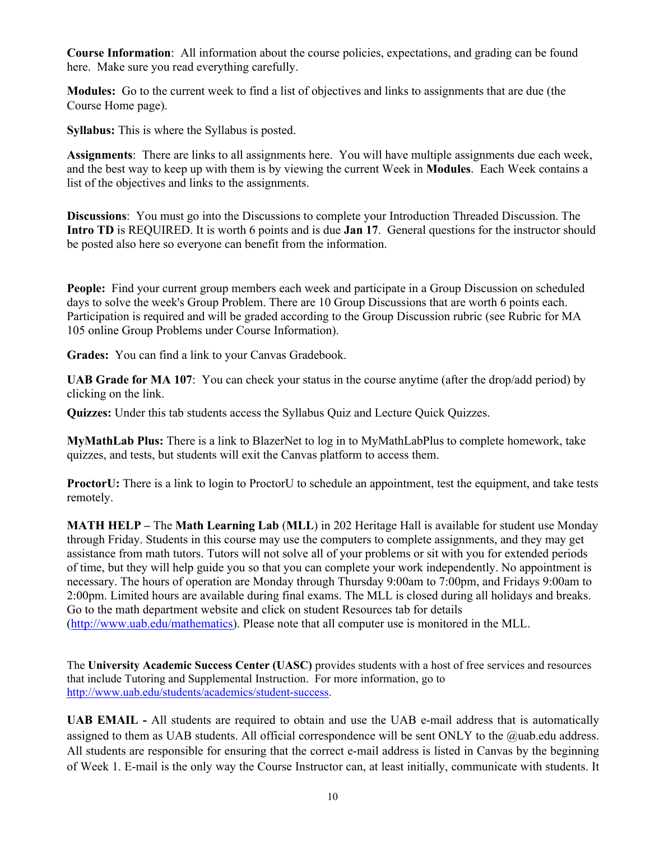**Course Information**: All information about the course policies, expectations, and grading can be found here. Make sure you read everything carefully.

**Modules:** Go to the current week to find a list of objectives and links to assignments that are due (the Course Home page).

**Syllabus:** This is where the Syllabus is posted.

**Assignments**: There are links to all assignments here. You will have multiple assignments due each week, and the best way to keep up with them is by viewing the current Week in **Modules**. Each Week contains a list of the objectives and links to the assignments.

**Discussions**: You must go into the Discussions to complete your Introduction Threaded Discussion. The **Intro TD** is REQUIRED. It is worth 6 points and is due **Jan 17**. General questions for the instructor should be posted also here so everyone can benefit from the information.

**People:** Find your current group members each week and participate in a Group Discussion on scheduled days to solve the week's Group Problem. There are 10 Group Discussions that are worth 6 points each. Participation is required and will be graded according to the Group Discussion rubric (see Rubric for MA 105 online Group Problems under Course Information).

**Grades:** You can find a link to your Canvas Gradebook.

**UAB Grade for MA 107**: You can check your status in the course anytime (after the drop/add period) by clicking on the link.

**Quizzes:** Under this tab students access the Syllabus Quiz and Lecture Quick Quizzes.

**MyMathLab Plus:** There is a link to BlazerNet to log in to MyMathLabPlus to complete homework, take quizzes, and tests, but students will exit the Canvas platform to access them.

**ProctorU:** There is a link to login to ProctorU to schedule an appointment, test the equipment, and take tests remotely.

**MATH HELP –** The **Math Learning Lab** (**MLL**) in 202 Heritage Hall is available for student use Monday through Friday. Students in this course may use the computers to complete assignments, and they may get assistance from math tutors. Tutors will not solve all of your problems or sit with you for extended periods of time, but they will help guide you so that you can complete your work independently. No appointment is necessary. The hours of operation are Monday through Thursday 9:00am to 7:00pm, and Fridays 9:00am to 2:00pm. Limited hours are available during final exams. The MLL is closed during all holidays and breaks. Go to the math department website and click on student Resources tab for details (http://www.uab.edu/mathematics). Please note that all computer use is monitored in the MLL.

The **University Academic Success Center (UASC)** provides students with a host of free services and resources that include Tutoring and Supplemental Instruction. For more information, go to http://www.uab.edu/students/academics/student-success.

**UAB EMAIL -** All students are required to obtain and use the UAB e-mail address that is automatically assigned to them as UAB students. All official correspondence will be sent ONLY to the @uab.edu address. All students are responsible for ensuring that the correct e-mail address is listed in Canvas by the beginning of Week 1. E-mail is the only way the Course Instructor can, at least initially, communicate with students. It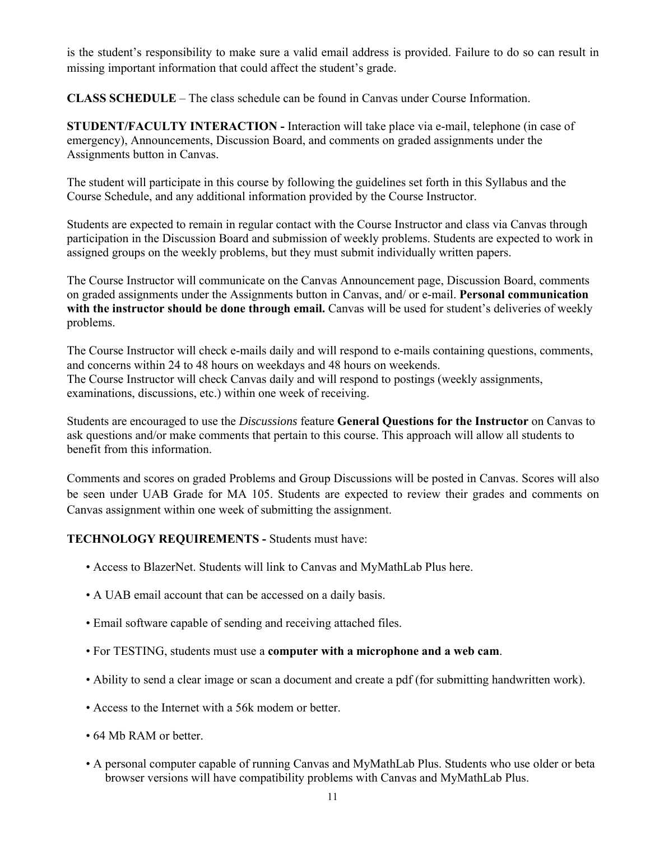is the student's responsibility to make sure a valid email address is provided. Failure to do so can result in missing important information that could affect the student's grade.

**CLASS SCHEDULE** – The class schedule can be found in Canvas under Course Information.

**STUDENT/FACULTY INTERACTION -** Interaction will take place via e-mail, telephone (in case of emergency), Announcements, Discussion Board, and comments on graded assignments under the Assignments button in Canvas.

The student will participate in this course by following the guidelines set forth in this Syllabus and the Course Schedule, and any additional information provided by the Course Instructor.

Students are expected to remain in regular contact with the Course Instructor and class via Canvas through participation in the Discussion Board and submission of weekly problems. Students are expected to work in assigned groups on the weekly problems, but they must submit individually written papers.

The Course Instructor will communicate on the Canvas Announcement page, Discussion Board, comments on graded assignments under the Assignments button in Canvas, and/ or e-mail. **Personal communication with the instructor should be done through email.** Canvas will be used for student's deliveries of weekly problems.

The Course Instructor will check e-mails daily and will respond to e-mails containing questions, comments, and concerns within 24 to 48 hours on weekdays and 48 hours on weekends. The Course Instructor will check Canvas daily and will respond to postings (weekly assignments, examinations, discussions, etc.) within one week of receiving.

Students are encouraged to use the *Discussions* feature **General Questions for the Instructor** on Canvas to ask questions and/or make comments that pertain to this course. This approach will allow all students to benefit from this information.

Comments and scores on graded Problems and Group Discussions will be posted in Canvas. Scores will also be seen under UAB Grade for MA 105. Students are expected to review their grades and comments on Canvas assignment within one week of submitting the assignment.

# **TECHNOLOGY REQUIREMENTS -** Students must have:

- Access to BlazerNet. Students will link to Canvas and MyMathLab Plus here.
- A UAB email account that can be accessed on a daily basis.
- Email software capable of sending and receiving attached files.
- For TESTING, students must use a **computer with a microphone and a web cam**.
- Ability to send a clear image or scan a document and create a pdf (for submitting handwritten work).
- Access to the Internet with a 56k modem or better.
- 64 Mb RAM or better.
- A personal computer capable of running Canvas and MyMathLab Plus. Students who use older or beta browser versions will have compatibility problems with Canvas and MyMathLab Plus.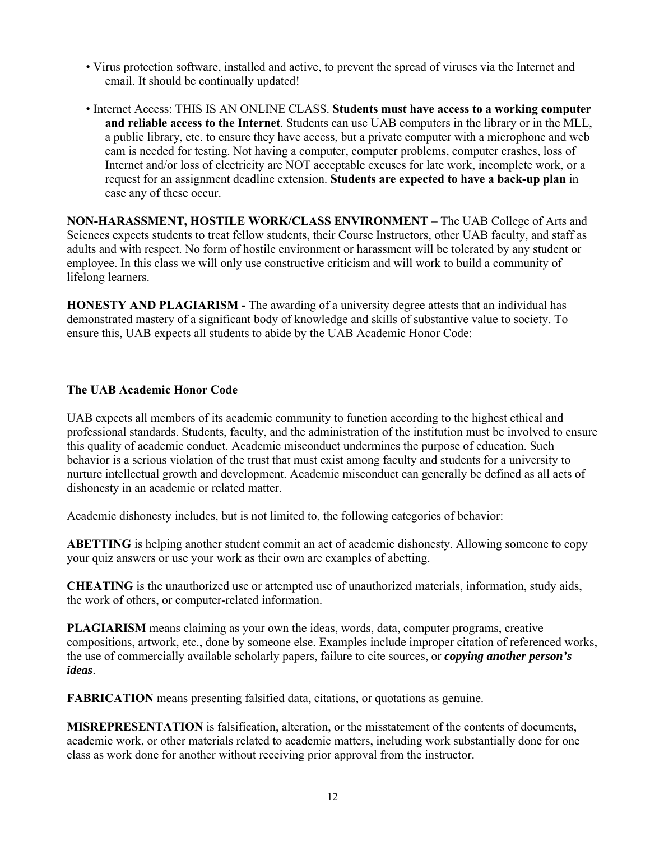- Virus protection software, installed and active, to prevent the spread of viruses via the Internet and email. It should be continually updated!
- Internet Access: THIS IS AN ONLINE CLASS. **Students must have access to a working computer and reliable access to the Internet**. Students can use UAB computers in the library or in the MLL, a public library, etc. to ensure they have access, but a private computer with a microphone and web cam is needed for testing. Not having a computer, computer problems, computer crashes, loss of Internet and/or loss of electricity are NOT acceptable excuses for late work, incomplete work, or a request for an assignment deadline extension. **Students are expected to have a back-up plan** in case any of these occur.

**NON-HARASSMENT, HOSTILE WORK/CLASS ENVIRONMENT –** The UAB College of Arts and Sciences expects students to treat fellow students, their Course Instructors, other UAB faculty, and staff as adults and with respect. No form of hostile environment or harassment will be tolerated by any student or employee. In this class we will only use constructive criticism and will work to build a community of lifelong learners.

**HONESTY AND PLAGIARISM -** The awarding of a university degree attests that an individual has demonstrated mastery of a significant body of knowledge and skills of substantive value to society. To ensure this, UAB expects all students to abide by the UAB Academic Honor Code:

# **The UAB Academic Honor Code**

UAB expects all members of its academic community to function according to the highest ethical and professional standards. Students, faculty, and the administration of the institution must be involved to ensure this quality of academic conduct. Academic misconduct undermines the purpose of education. Such behavior is a serious violation of the trust that must exist among faculty and students for a university to nurture intellectual growth and development. Academic misconduct can generally be defined as all acts of dishonesty in an academic or related matter.

Academic dishonesty includes, but is not limited to, the following categories of behavior:

**ABETTING** is helping another student commit an act of academic dishonesty. Allowing someone to copy your quiz answers or use your work as their own are examples of abetting.

**CHEATING** is the unauthorized use or attempted use of unauthorized materials, information, study aids, the work of others, or computer-related information.

**PLAGIARISM** means claiming as your own the ideas, words, data, computer programs, creative compositions, artwork, etc., done by someone else. Examples include improper citation of referenced works, the use of commercially available scholarly papers, failure to cite sources, or *copying another person's ideas*.

**FABRICATION** means presenting falsified data, citations, or quotations as genuine.

**MISREPRESENTATION** is falsification, alteration, or the misstatement of the contents of documents, academic work, or other materials related to academic matters, including work substantially done for one class as work done for another without receiving prior approval from the instructor.